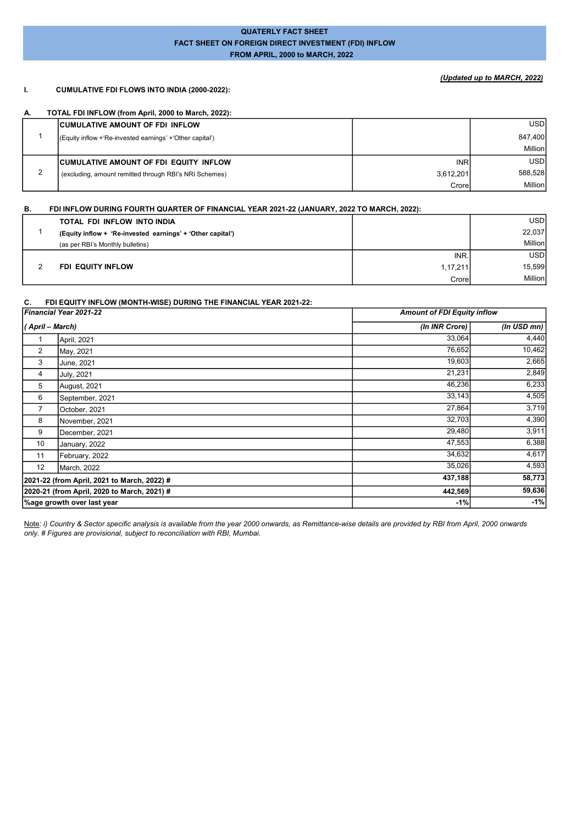## QUATERLY FACT SHEET FACT SHEET ON FOREIGN DIRECT INVESTMENT (FDI) INFLOW FROM APRIL, 2000 to MARCH, 2022

# (Updated up to MARCH, 2022)

### I. CUMULATIVE FDI FLOWS INTO INDIA (2000-2022):

### A. TOTAL FDI INFLOW (from April, 2000 to March, 2022):

|   | <b>CUMULATIVE AMOUNT OF FDI INFLOW</b>                    |            | <b>USDI</b> |
|---|-----------------------------------------------------------|------------|-------------|
|   | (Equity inflow + Re-invested earnings' + 'Other capital') |            | 847,400     |
|   |                                                           |            | Million     |
|   | <b>CUMULATIVE AMOUNT OF FDI EQUITY INFLOW</b>             | <b>INR</b> | <b>USDI</b> |
| ◠ | (excluding, amount remitted through RBI's NRI Schemes)    | 3,612,201  | 588,528     |
|   |                                                           | Crore      | Million     |

#### B. FDI INFLOW DURING FOURTH QUARTER OF FINANCIAL YEAR 2021-22 (JANUARY, 2022 TO MARCH, 2022):

| TOTAL FDI INFLOW INTO INDIA                                |          | USD     |
|------------------------------------------------------------|----------|---------|
| (Equity inflow + 'Re-invested earnings' + 'Other capital') |          | 22,037  |
| (as per RBI's Monthly bulletins)                           |          | Million |
|                                                            | INR.     | USD     |
| FDI EQUITY INFLOW                                          | 1.17.211 | 15,599  |
|                                                            | Crore    | Million |

#### C. FDI EQUITY INFLOW (MONTH-WISE) DURING THE FINANCIAL YEAR 2021-22:

|                  | Financial Year 2021-22                      | <b>Amount of FDI Equity inflow</b> |                |
|------------------|---------------------------------------------|------------------------------------|----------------|
| ( April – March) |                                             | (In INR Crore)                     | (In USD $mn$ ) |
|                  | April, 2021                                 | 33,064                             | 4,440          |
| $\overline{2}$   | May, 2021                                   | 76,652                             | 10,462         |
| 3                | June, 2021                                  | 19,603                             | 2,665          |
| 4                | July, 2021                                  | 21,231                             | 2,849          |
| 5                | August, 2021                                | 46,236                             | 6,233          |
| 6                | September, 2021                             | 33,143                             | 4,505          |
| 7                | October, 2021                               | 27,864                             | 3,719          |
| 8                | November, 2021                              | 32,703                             | 4,390          |
| 9                | December, 2021                              | 29,480                             | 3,911          |
| 10               | January, 2022                               | 47,553                             | 6,388          |
| 11               | February, 2022                              | 34,632                             | 4,617          |
| 12               | March, 2022                                 | 35,026                             | 4,593          |
|                  | 2021-22 (from April, 2021 to March, 2022) # | 437,188                            | 58,773         |
|                  | 2020-21 (from April, 2020 to March, 2021) # | 442,569                            | 59,636         |
|                  | Mage growth over last year                  | $-1%$                              | $-1%$          |

Note: i) Country & Sector specific analysis is available from the year 2000 onwards, as Remittance-wise details are provided by RBI from April, 2000 onwards only. # Figures are provisional, subject to reconciliation with RBI, Mumbai.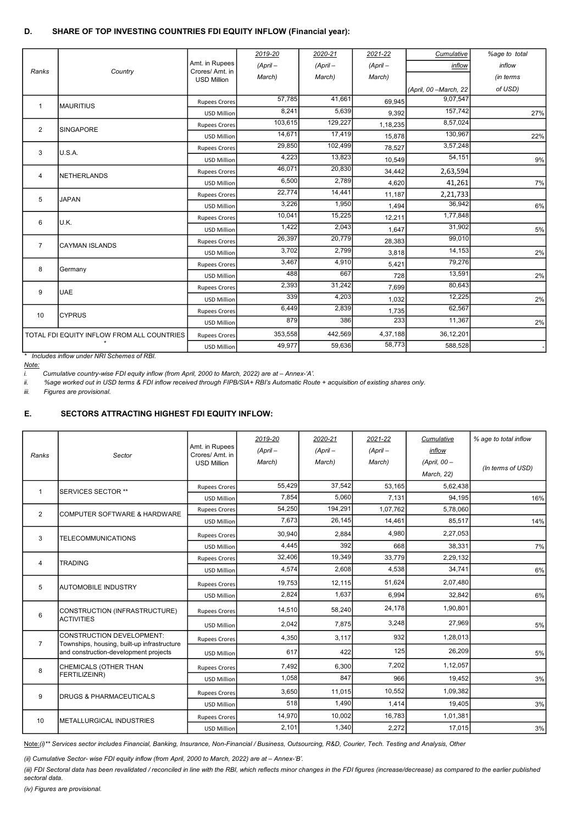## D. SHARE OF TOP INVESTING COUNTRIES FDI EQUITY INFLOW (Financial year):

|                |                                            |                                      | 2019-20    | 2020-21    | 2021-22    | Cumulative             | %age to total |
|----------------|--------------------------------------------|--------------------------------------|------------|------------|------------|------------------------|---------------|
|                |                                            | Amt. in Rupees                       | $(ApriI -$ | $(ApriI -$ | $(ApriI -$ | inflow                 | inflow        |
| Ranks          | Country                                    | Crores/Amt. in<br><b>USD Million</b> | March)     | March)     | March)     |                        | (in terms     |
|                |                                            |                                      |            |            |            | (April, 00 - March, 22 | of USD)       |
| $\mathbf{1}$   | <b>MAURITIUS</b>                           | <b>Rupees Crores</b>                 | 57.785     | 41.661     | 69.945     | 9,07,547               |               |
|                |                                            | <b>USD Million</b>                   | 8.241      | 5.639      | 9.392      | 157.742                | 27%           |
| 2              | <b>SINGAPORE</b>                           | <b>Rupees Crores</b>                 | 103,615    | 129,227    | 1,18,235   | 8,57,024               |               |
|                |                                            | USD Million                          | 14.671     | 17,419     | 15,878     | 130,967                | 22%           |
| 3              | U.S.A.                                     | Rupees Crores                        | 29,850     | 102,499    | 78,527     | 3,57,248               |               |
|                |                                            | USD Million                          | 4,223      | 13,823     | 10,549     | 54,151                 | 9%            |
| 4              | NETHERLANDS                                | <b>Rupees Crores</b>                 | 46.071     | 20,830     | 34,442     | 2,63,594               |               |
|                |                                            | USD Million                          | 6,500      | 2,789      | 4,620      | 41,261                 | 7%            |
| 5              | <b>JAPAN</b>                               | <b>Rupees Crores</b>                 | 22,774     | 14,441     | 11,187     | 2,21,733               |               |
|                |                                            | USD Million                          | 3.226      | 1,950      | 1,494      | 36.942                 | 6%            |
| 6              | U.K.                                       | <b>Rupees Crores</b>                 | 10,041     | 15,225     | 12,211     | 1,77,848               |               |
|                |                                            | <b>USD Million</b>                   | 1,422      | 2,043      | 1,647      | 31.902                 | 5%            |
| $\overline{7}$ | <b>CAYMAN ISLANDS</b>                      | <b>Rupees Crores</b>                 | 26,397     | 20,779     | 28,383     | 99,010                 |               |
|                |                                            | <b>USD Million</b>                   | 3,702      | 2,799      | 3,818      | 14,153                 | 2%            |
| 8              | Germany                                    | Rupees Crores                        | 3,467      | 4,910      | 5,421      | 79,276                 |               |
|                |                                            | USD Million                          | 488        | 667        | 728        | 13,591                 | 2%            |
| 9              | <b>UAE</b>                                 | <b>Rupees Crores</b>                 | 2,393      | 31,242     | 7,699      | 80,643                 |               |
|                |                                            | <b>USD Million</b>                   | 339        | 4,203      | 1,032      | 12,225                 | 2%            |
| 10             | ICYPRUS                                    | Rupees Crores                        | 6,449      | 2,839      | 1,735      | 62,567                 |               |
|                |                                            | USD Million                          | 879        | 386        | 233        | 11,367                 | 2%            |
|                | TOTAL FDI EQUITY INFLOW FROM ALL COUNTRIES | <b>Rupees Crores</b>                 | 353,558    | 442,569    | 4,37,188   | 36,12,201              |               |
|                |                                            | <b>USD Million</b>                   | 49,977     | 59,636     | 58,773     | 588,528                |               |

\* Includes inflow under NRI Schemes of RBI.

Note:

i. Cumulative country-wise FDI equity inflow (from April, 2000 to March, 2022) are at – Annex-'A'.

ii. %age worked out in USD terms & FDI inflow received through FIPB/SIA+ RBI's Automatic Route + acquisition of existing shares only.

iii. Figures are provisional.

## E. SECTORS ATTRACTING HIGHEST FDI EQUITY INFLOW:

| 2019-20<br>2020-21<br>2021-22<br>Cumulative<br>% age to total inflow<br>Amt. in Rupees<br>$(ApriI -$<br>$(ApriI -$<br>$(ApriI -$<br>inflow<br>Crores/Amt. in<br>Ranks<br>Sector<br>(April, $00 -$<br>March)<br>March)<br>March)<br><b>USD Million</b><br>(In terms of USD)<br>March, 22)<br>55,429<br>37,542<br>53.165<br>5,62,438<br>Rupees Crores<br>$\mathbf{1}$<br><b>ISERVICES SECTOR **</b><br>7.854<br>5.060<br>7,131<br>94,195<br><b>USD Million</b><br>54,250<br>194,291<br>1,07,762<br>5,78,060<br><b>Rupees Crores</b><br>$\overline{2}$<br><b>ICOMPUTER SOFTWARE &amp; HARDWARE</b><br>7,673<br>26,145<br>14,461<br>85,517<br><b>USD Million</b><br>4,980<br>2,27,053<br>30,940<br>2,884<br><b>Rupees Crores</b><br>3<br><b>TELECOMMUNICATIONS</b><br>392<br>4.445<br>668<br>38,331<br><b>USD Million</b><br>32,406<br>19,349<br>33,779<br>2,29,132<br><b>Rupees Crores</b><br>4<br><b>TRADING</b><br>4,574<br>2.608<br>4.538<br>34.741<br><b>USD Million</b><br>51,624<br>2,07,480<br>19,753<br>12,115<br><b>Rupees Crores</b><br>5<br>IAUTOMOBILE INDUSTRY<br>2,824<br>1,637<br>6.994<br>32.842<br><b>USD Million</b><br>24,178<br>1,90,801<br>14,510<br>58,240<br>CONSTRUCTION (INFRASTRUCTURE)<br><b>Rupees Crores</b><br>6<br><b>ACTIVITIES</b><br>3,248<br>27,969<br>2,042<br>7,875<br><b>USD Million</b><br><b>CONSTRUCTION DEVELOPMENT:</b><br>932<br>1,28,013<br>4,350<br>3,117<br><b>Rupees Crores</b><br>$\overline{7}$<br>Townships, housing, built-up infrastructure<br>125<br>26.209<br>and construction-development projects<br>617<br>422<br><b>USD Million</b><br>7,202<br>1,12,057<br>7,492<br>6,300<br>CHEMICALS (OTHER THAN<br><b>Rupees Crores</b><br>8<br><b>FERTILIZEINR)</b><br>1,058<br>847<br>966<br>19.452<br><b>USD Million</b><br>10,552<br>1,09,382<br>3.650<br>11.015<br><b>Rupees Crores</b><br>9<br><b>IDRUGS &amp; PHARMACEUTICALS</b><br>1,490<br>518<br>1,414<br>19,405<br><b>USD Million</b><br>14.970<br>10,002<br>16,783<br>1,01,381<br><b>Rupees Crores</b><br>10<br><b>IMETALLURGICAL INDUSTRIES</b><br>1,340<br>2,101<br>2,272<br>17,015<br><b>USD Million</b> |  |  |  |  |     |
|----------------------------------------------------------------------------------------------------------------------------------------------------------------------------------------------------------------------------------------------------------------------------------------------------------------------------------------------------------------------------------------------------------------------------------------------------------------------------------------------------------------------------------------------------------------------------------------------------------------------------------------------------------------------------------------------------------------------------------------------------------------------------------------------------------------------------------------------------------------------------------------------------------------------------------------------------------------------------------------------------------------------------------------------------------------------------------------------------------------------------------------------------------------------------------------------------------------------------------------------------------------------------------------------------------------------------------------------------------------------------------------------------------------------------------------------------------------------------------------------------------------------------------------------------------------------------------------------------------------------------------------------------------------------------------------------------------------------------------------------------------------------------------------------------------------------------------------------------------------------------------------------------------------------------------------------------------------------------------------------------------------------------------------------------------------------------------------------------------------------|--|--|--|--|-----|
|                                                                                                                                                                                                                                                                                                                                                                                                                                                                                                                                                                                                                                                                                                                                                                                                                                                                                                                                                                                                                                                                                                                                                                                                                                                                                                                                                                                                                                                                                                                                                                                                                                                                                                                                                                                                                                                                                                                                                                                                                                                                                                                      |  |  |  |  |     |
|                                                                                                                                                                                                                                                                                                                                                                                                                                                                                                                                                                                                                                                                                                                                                                                                                                                                                                                                                                                                                                                                                                                                                                                                                                                                                                                                                                                                                                                                                                                                                                                                                                                                                                                                                                                                                                                                                                                                                                                                                                                                                                                      |  |  |  |  |     |
|                                                                                                                                                                                                                                                                                                                                                                                                                                                                                                                                                                                                                                                                                                                                                                                                                                                                                                                                                                                                                                                                                                                                                                                                                                                                                                                                                                                                                                                                                                                                                                                                                                                                                                                                                                                                                                                                                                                                                                                                                                                                                                                      |  |  |  |  |     |
|                                                                                                                                                                                                                                                                                                                                                                                                                                                                                                                                                                                                                                                                                                                                                                                                                                                                                                                                                                                                                                                                                                                                                                                                                                                                                                                                                                                                                                                                                                                                                                                                                                                                                                                                                                                                                                                                                                                                                                                                                                                                                                                      |  |  |  |  |     |
|                                                                                                                                                                                                                                                                                                                                                                                                                                                                                                                                                                                                                                                                                                                                                                                                                                                                                                                                                                                                                                                                                                                                                                                                                                                                                                                                                                                                                                                                                                                                                                                                                                                                                                                                                                                                                                                                                                                                                                                                                                                                                                                      |  |  |  |  |     |
|                                                                                                                                                                                                                                                                                                                                                                                                                                                                                                                                                                                                                                                                                                                                                                                                                                                                                                                                                                                                                                                                                                                                                                                                                                                                                                                                                                                                                                                                                                                                                                                                                                                                                                                                                                                                                                                                                                                                                                                                                                                                                                                      |  |  |  |  | 16% |
|                                                                                                                                                                                                                                                                                                                                                                                                                                                                                                                                                                                                                                                                                                                                                                                                                                                                                                                                                                                                                                                                                                                                                                                                                                                                                                                                                                                                                                                                                                                                                                                                                                                                                                                                                                                                                                                                                                                                                                                                                                                                                                                      |  |  |  |  |     |
|                                                                                                                                                                                                                                                                                                                                                                                                                                                                                                                                                                                                                                                                                                                                                                                                                                                                                                                                                                                                                                                                                                                                                                                                                                                                                                                                                                                                                                                                                                                                                                                                                                                                                                                                                                                                                                                                                                                                                                                                                                                                                                                      |  |  |  |  | 14% |
|                                                                                                                                                                                                                                                                                                                                                                                                                                                                                                                                                                                                                                                                                                                                                                                                                                                                                                                                                                                                                                                                                                                                                                                                                                                                                                                                                                                                                                                                                                                                                                                                                                                                                                                                                                                                                                                                                                                                                                                                                                                                                                                      |  |  |  |  |     |
|                                                                                                                                                                                                                                                                                                                                                                                                                                                                                                                                                                                                                                                                                                                                                                                                                                                                                                                                                                                                                                                                                                                                                                                                                                                                                                                                                                                                                                                                                                                                                                                                                                                                                                                                                                                                                                                                                                                                                                                                                                                                                                                      |  |  |  |  | 7%  |
|                                                                                                                                                                                                                                                                                                                                                                                                                                                                                                                                                                                                                                                                                                                                                                                                                                                                                                                                                                                                                                                                                                                                                                                                                                                                                                                                                                                                                                                                                                                                                                                                                                                                                                                                                                                                                                                                                                                                                                                                                                                                                                                      |  |  |  |  |     |
|                                                                                                                                                                                                                                                                                                                                                                                                                                                                                                                                                                                                                                                                                                                                                                                                                                                                                                                                                                                                                                                                                                                                                                                                                                                                                                                                                                                                                                                                                                                                                                                                                                                                                                                                                                                                                                                                                                                                                                                                                                                                                                                      |  |  |  |  | 6%  |
|                                                                                                                                                                                                                                                                                                                                                                                                                                                                                                                                                                                                                                                                                                                                                                                                                                                                                                                                                                                                                                                                                                                                                                                                                                                                                                                                                                                                                                                                                                                                                                                                                                                                                                                                                                                                                                                                                                                                                                                                                                                                                                                      |  |  |  |  |     |
|                                                                                                                                                                                                                                                                                                                                                                                                                                                                                                                                                                                                                                                                                                                                                                                                                                                                                                                                                                                                                                                                                                                                                                                                                                                                                                                                                                                                                                                                                                                                                                                                                                                                                                                                                                                                                                                                                                                                                                                                                                                                                                                      |  |  |  |  | 6%  |
|                                                                                                                                                                                                                                                                                                                                                                                                                                                                                                                                                                                                                                                                                                                                                                                                                                                                                                                                                                                                                                                                                                                                                                                                                                                                                                                                                                                                                                                                                                                                                                                                                                                                                                                                                                                                                                                                                                                                                                                                                                                                                                                      |  |  |  |  |     |
|                                                                                                                                                                                                                                                                                                                                                                                                                                                                                                                                                                                                                                                                                                                                                                                                                                                                                                                                                                                                                                                                                                                                                                                                                                                                                                                                                                                                                                                                                                                                                                                                                                                                                                                                                                                                                                                                                                                                                                                                                                                                                                                      |  |  |  |  | 5%  |
|                                                                                                                                                                                                                                                                                                                                                                                                                                                                                                                                                                                                                                                                                                                                                                                                                                                                                                                                                                                                                                                                                                                                                                                                                                                                                                                                                                                                                                                                                                                                                                                                                                                                                                                                                                                                                                                                                                                                                                                                                                                                                                                      |  |  |  |  |     |
|                                                                                                                                                                                                                                                                                                                                                                                                                                                                                                                                                                                                                                                                                                                                                                                                                                                                                                                                                                                                                                                                                                                                                                                                                                                                                                                                                                                                                                                                                                                                                                                                                                                                                                                                                                                                                                                                                                                                                                                                                                                                                                                      |  |  |  |  | 5%  |
|                                                                                                                                                                                                                                                                                                                                                                                                                                                                                                                                                                                                                                                                                                                                                                                                                                                                                                                                                                                                                                                                                                                                                                                                                                                                                                                                                                                                                                                                                                                                                                                                                                                                                                                                                                                                                                                                                                                                                                                                                                                                                                                      |  |  |  |  |     |
|                                                                                                                                                                                                                                                                                                                                                                                                                                                                                                                                                                                                                                                                                                                                                                                                                                                                                                                                                                                                                                                                                                                                                                                                                                                                                                                                                                                                                                                                                                                                                                                                                                                                                                                                                                                                                                                                                                                                                                                                                                                                                                                      |  |  |  |  | 3%  |
|                                                                                                                                                                                                                                                                                                                                                                                                                                                                                                                                                                                                                                                                                                                                                                                                                                                                                                                                                                                                                                                                                                                                                                                                                                                                                                                                                                                                                                                                                                                                                                                                                                                                                                                                                                                                                                                                                                                                                                                                                                                                                                                      |  |  |  |  |     |
|                                                                                                                                                                                                                                                                                                                                                                                                                                                                                                                                                                                                                                                                                                                                                                                                                                                                                                                                                                                                                                                                                                                                                                                                                                                                                                                                                                                                                                                                                                                                                                                                                                                                                                                                                                                                                                                                                                                                                                                                                                                                                                                      |  |  |  |  | 3%  |
|                                                                                                                                                                                                                                                                                                                                                                                                                                                                                                                                                                                                                                                                                                                                                                                                                                                                                                                                                                                                                                                                                                                                                                                                                                                                                                                                                                                                                                                                                                                                                                                                                                                                                                                                                                                                                                                                                                                                                                                                                                                                                                                      |  |  |  |  |     |
|                                                                                                                                                                                                                                                                                                                                                                                                                                                                                                                                                                                                                                                                                                                                                                                                                                                                                                                                                                                                                                                                                                                                                                                                                                                                                                                                                                                                                                                                                                                                                                                                                                                                                                                                                                                                                                                                                                                                                                                                                                                                                                                      |  |  |  |  | 3%  |

Note:(i)\*\* Services sector includes Financial, Banking, Insurance, Non-Financial / Business, Outsourcing, R&D, Courier, Tech. Testing and Analysis, Other

(ii) Cumulative Sector- wise FDI equity inflow (from April, 2000 to March, 2022) are at – Annex-'B'.

(iii) FDI Sectoral data has been revalidated / reconciled in line with the RBI, which reflects minor changes in the FDI figures (increase/decrease) as compared to the earlier published sectoral data.

(iv) Figures are provisional.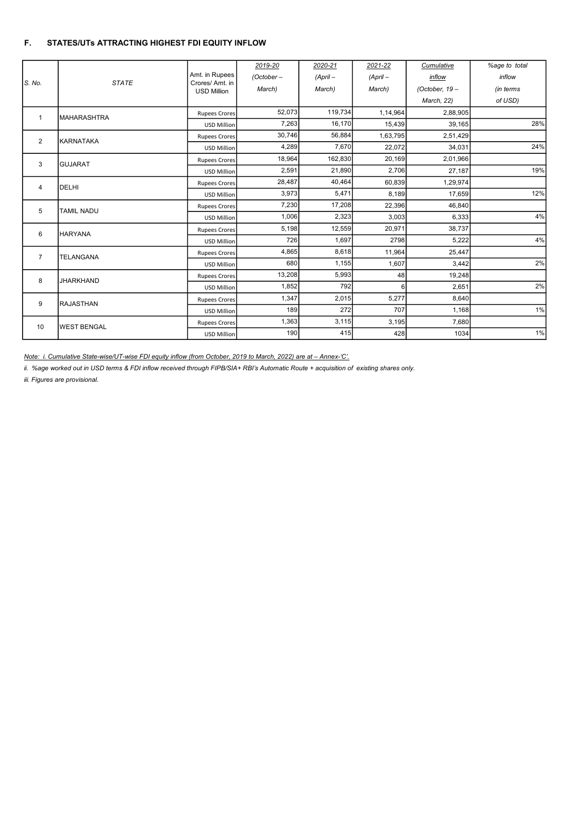# F. STATES/UTs ATTRACTING HIGHEST FDI EQUITY INFLOW

|                | <b>STATE</b>       |                                  | 2019-20      | 2020-21    | 2021-22    | Cumulative      | %age to total |
|----------------|--------------------|----------------------------------|--------------|------------|------------|-----------------|---------------|
| S. No.         |                    | Amt. in Rupees<br>Crores/Amt. in | $(October -$ | $(ApriI -$ | $(ApriI -$ | inflow          | inflow        |
|                |                    | <b>USD Million</b>               | March)       | March)     | March)     | (October, $19-$ | (in terms     |
|                |                    |                                  |              |            |            | March, 22)      | of USD)       |
| $\mathbf{1}$   | <b>MAHARASHTRA</b> | <b>Rupees Crores</b>             | 52,073       | 119,734    | 1,14,964   | 2,88,905        |               |
|                |                    | <b>USD Million</b>               | 7,263        | 16,170     | 15,439     | 39,165          | 28%           |
| $\overline{2}$ | KARNATAKA          | <b>Rupees Crores</b>             | 30,746       | 56,884     | 1,63,795   | 2,51,429        |               |
|                |                    | <b>USD Million</b>               | 4,289        | 7,670      | 22,072     | 34.031          | 24%           |
| 3              | <b>GUJARAT</b>     | <b>Rupees Crores</b>             | 18,964       | 162,830    | 20,169     | 2,01,966        |               |
|                |                    | <b>USD Million</b>               | 2,591        | 21,890     | 2,706      | 27,187          | 19%           |
| 4              | <b>DELHI</b>       | <b>Rupees Crores</b>             | 28,487       | 40,464     | 60,839     | 1,29,974        |               |
|                |                    | <b>USD Million</b>               | 3,973        | 5,471      | 8,189      | 17,659          | 12%           |
| 5              | <b>TAMIL NADU</b>  | <b>Rupees Crores</b>             | 7,230        | 17,208     | 22,396     | 46,840          |               |
|                |                    | <b>USD Million</b>               | 1,006        | 2,323      | 3,003      | 6,333           | 4%            |
| 6              | <b>HARYANA</b>     | <b>Rupees Crores</b>             | 5,198        | 12,559     | 20,971     | 38,737          |               |
|                |                    | <b>USD Million</b>               | 726          | 1,697      | 2798       | 5,222           | 4%            |
| $\overline{7}$ | <b>TELANGANA</b>   | <b>Rupees Crores</b>             | 4,865        | 8,618      | 11,964     | 25,447          |               |
|                |                    | <b>USD Million</b>               | 680          | 1,155      | 1,607      | 3,442           | 2%            |
| 8              | <b>JHARKHAND</b>   | <b>Rupees Crores</b>             | 13,208       | 5,993      | 48         | 19,248          |               |
|                |                    | <b>USD Million</b>               | 1,852        | 792        | 6          | 2,651           | 2%            |
| 9              | <b>RAJASTHAN</b>   | <b>Rupees Crores</b>             | 1,347        | 2,015      | 5,277      | 8,640           |               |
|                |                    | <b>USD Million</b>               | 189          | 272        | 707        | 1,168           | 1%            |
| 10             | <b>WEST BENGAL</b> | <b>Rupees Crores</b>             | 1,363        | 3,115      | 3,195      | 7.680           |               |
|                |                    | <b>USD Million</b>               | 190          | 415        | 428        | 1034            | 1%            |

Note: i. Cumulative State-wise/UT-wise FDI equity inflow (from October, 2019 to March, 2022) are at – Annex-'C'.

ii. %age worked out in USD terms & FDI inflow received through FIPB/SIA+ RBI's Automatic Route + acquisition of existing shares only.

iii. Figures are provisional.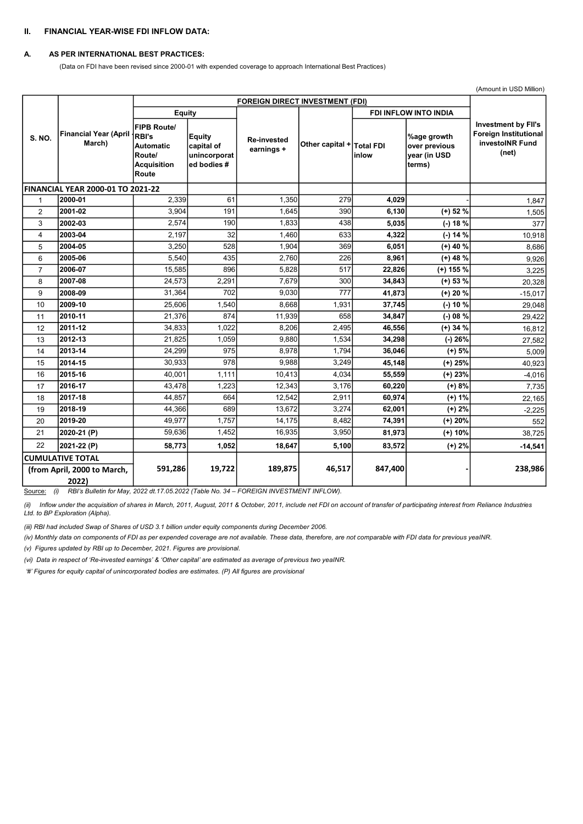## II. FINANCIAL YEAR-WISE FDI INFLOW DATA:

#### A. AS PER INTERNATIONAL BEST PRACTICES:

(Data on FDI have been revised since 2000-01 with expended coverage to approach International Best Practices)

|                |                                          |                                                                                                 |                                                            |                                        |                           | (Amount in USD Million)      |                                                        |                                                                                 |
|----------------|------------------------------------------|-------------------------------------------------------------------------------------------------|------------------------------------------------------------|----------------------------------------|---------------------------|------------------------------|--------------------------------------------------------|---------------------------------------------------------------------------------|
|                |                                          |                                                                                                 |                                                            | <b>FOREIGN DIRECT INVESTMENT (FDI)</b> |                           |                              |                                                        |                                                                                 |
|                |                                          | Equity                                                                                          |                                                            |                                        |                           | <b>FDI INFLOW INTO INDIA</b> |                                                        |                                                                                 |
| <b>S. NO.</b>  | <b>Financial Year (April</b><br>March)   | <b>FIPB Route/</b><br><b>RBI's</b><br><b>Automatic</b><br>Route/<br><b>Acquisition</b><br>Route | <b>Equity</b><br>capital of<br>unincorporat<br>ed bodies # | <b>Re-invested</b><br>earnings +       | Other capital + Total FDI | inlow                        | %age growth<br>over previous<br>year (in USD<br>terms) | <b>Investment by FII's</b><br>Foreign Institutional<br>investoINR Fund<br>(net) |
|                | <b>FINANCIAL YEAR 2000-01 TO 2021-22</b> |                                                                                                 |                                                            |                                        |                           |                              |                                                        |                                                                                 |
| 1              | 2000-01                                  | 2,339                                                                                           | 61                                                         | 1.350                                  | 279                       | 4.029                        |                                                        | 1,847                                                                           |
| $\overline{2}$ | 2001-02                                  | 3,904                                                                                           | 191                                                        | 1,645                                  | 390                       | 6,130                        | $(+)$ 52 %                                             | 1,505                                                                           |
| 3              | 2002-03                                  | 2,574                                                                                           | 190                                                        | 1,833                                  | 438                       | 5,035                        | $(-) 18 %$                                             | 377                                                                             |
| $\overline{4}$ | 2003-04                                  | 2.197                                                                                           | 32                                                         | 1.460                                  | 633                       | 4,322                        | $(-) 14 \%$                                            | 10,918                                                                          |
| 5              | 2004-05                                  | 3,250                                                                                           | 528                                                        | 1.904                                  | 369                       | 6,051                        | $(+)$ 40 %                                             | 8.686                                                                           |
| 6              | 2005-06                                  | 5,540                                                                                           | 435                                                        | 2.760                                  | 226                       | 8,961                        | $(+)$ 48 %                                             | 9,926                                                                           |
| $\overline{7}$ | 2006-07                                  | 15,585                                                                                          | 896                                                        | 5.828                                  | 517                       | 22,826                       | $(+)$ 155 %                                            | 3,225                                                                           |
| 8              | 2007-08                                  | 24,573                                                                                          | 2,291                                                      | 7.679                                  | 300                       | 34,843                       | $(+)$ 53 %                                             | 20,328                                                                          |
| 9              | 2008-09                                  | 31,364                                                                                          | 702                                                        | 9,030                                  | 777                       | 41,873                       | $(+)$ 20 %                                             | $-15,017$                                                                       |
| 10             | 2009-10                                  | 25,606                                                                                          | 1,540                                                      | 8,668                                  | 1,931                     | 37,745                       | $(-) 10 %$                                             | 29,048                                                                          |
| 11             | 2010-11                                  | 21.376                                                                                          | 874                                                        | 11,939                                 | 658                       | 34,847                       | $(-) 08 \%$                                            | 29,422                                                                          |
| 12             | 2011-12                                  | 34.833                                                                                          | 1.022                                                      | 8.206                                  | 2.495                     | 46,556                       | $(+)$ 34 %                                             | 16,812                                                                          |
| 13             | 2012-13                                  | 21,825                                                                                          | 1,059                                                      | 9.880                                  | 1,534                     | 34,298                       | $(-)$ 26%                                              | 27.582                                                                          |
| 14             | 2013-14                                  | 24.299                                                                                          | 975                                                        | 8.978                                  | 1,794                     | 36,046                       | $(+) 5%$                                               | 5,009                                                                           |
| 15             | 2014-15                                  | 30,933                                                                                          | 978                                                        | 9.988                                  | 3,249                     | 45,148                       | $(+)$ 25%                                              | 40,923                                                                          |
| 16             | 2015-16                                  | 40,001                                                                                          | 1,111                                                      | 10,413                                 | 4,034                     | 55,559                       | $(+)$ 23%                                              | $-4,016$                                                                        |
| 17             | 2016-17                                  | 43,478                                                                                          | 1,223                                                      | 12,343                                 | 3,176                     | 60,220                       | $(+) 8\%$                                              | 7,735                                                                           |
| 18             | 2017-18                                  | 44.857                                                                                          | 664                                                        | 12,542                                 | 2,911                     | 60,974                       | $(+) 1%$                                               | 22,165                                                                          |
| 19             | 2018-19                                  | 44.366                                                                                          | 689                                                        | 13.672                                 | 3,274                     | 62,001                       | $(+) 2%$                                               | $-2,225$                                                                        |
| 20             | 2019-20                                  | 49,977                                                                                          | 1,757                                                      | 14,175                                 | 8,482                     | 74,391                       | $(+)$ 20%                                              | 552                                                                             |
| 21             | 2020-21 (P)                              | 59,636                                                                                          | 1,452                                                      | 16,935                                 | 3,950                     | 81,973                       | $(+)$ 10%                                              | 38,725                                                                          |
| 22             | 2021-22 (P)                              | 58,773                                                                                          | 1,052                                                      | 18,647                                 | 5,100                     | 83,572                       | $(+) 2%$                                               | $-14,541$                                                                       |
|                | <b>CUMULATIVE TOTAL</b>                  |                                                                                                 |                                                            |                                        |                           |                              |                                                        |                                                                                 |
|                | (from April, 2000 to March,<br>2022)     | 591,286                                                                                         | 19,722                                                     | 189,875                                | 46,517                    | 847,400                      |                                                        | 238,986                                                                         |

Source: (i) RBI's Bulletin for May, 2022 dt.17.05.2022 (Table No. 34 – FOREIGN INVESTMENT INFLOW).

(ii) Inflow under the acquisition of shares in March, 2011, August, 2011 & October, 2011, include net FDI on account of transfer of participating interest from Reliance Industries Ltd. to BP Exploration (Alpha).

(iii) RBI had included Swap of Shares of USD 3.1 billion under equity components during December 2006.

(iv) Monthly data on components of FDI as per expended coverage are not available. These data, therefore, are not comparable with FDI data for previous yeaINR.

(v) Figures updated by RBI up to December, 2021. Figures are provisional.

(vi) Data in respect of 'Re-invested earnings' & 'Other capital' are estimated as average of previous two yeaINR.

'#' Figures for equity capital of unincorporated bodies are estimates. (P) All figures are provisional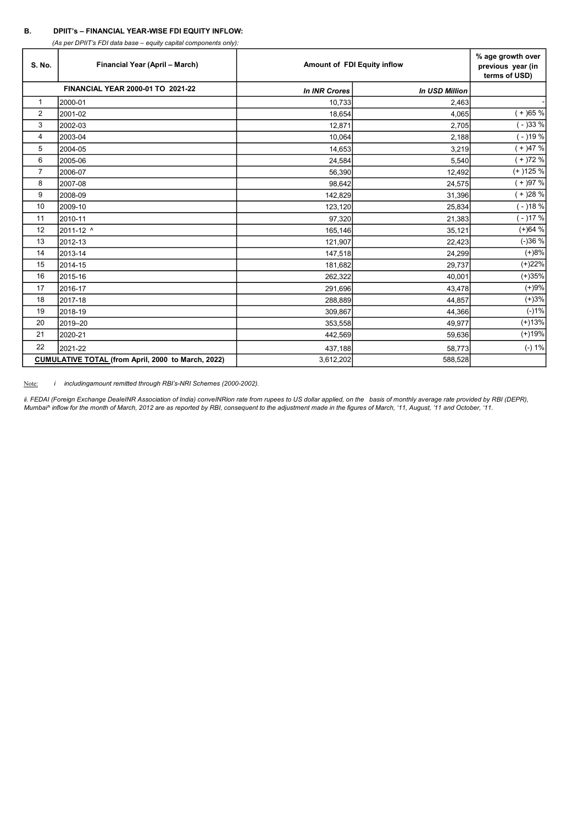# B. DPIIT's – FINANCIAL YEAR-WISE FDI EQUITY INFLOW:

(As per DPIIT's FDI data base – equity capital components only):

| S. No.         | Financial Year (April - March)                     | Amount of FDI Equity inflow | % age growth over<br>previous year (in<br>terms of USD) |           |
|----------------|----------------------------------------------------|-----------------------------|---------------------------------------------------------|-----------|
|                | FINANCIAL YEAR 2000-01 TO 2021-22                  | <b>In INR Crores</b>        | <b>In USD Million</b>                                   |           |
| 1              | 2000-01                                            | 10,733                      | 2,463                                                   |           |
| 2              | 2001-02                                            | 18,654                      | 4,065                                                   | $+$ )65 % |
| 3              | 2002-03                                            | 12,871                      | 2,705                                                   | ( - )33 % |
| 4              | 2003-04                                            | 10,064                      | 2,188                                                   | $-$ )19 % |
| 5              | 2004-05                                            | 14,653                      | 3,219                                                   | $(+)47%$  |
| 6              | 2005-06                                            | 24,584                      | 5,540                                                   | $+$ )72 % |
| $\overline{7}$ | 2006-07                                            | 56,390                      | 12,492                                                  | $(+)125%$ |
| 8              | 2007-08                                            | 98,642                      | 24,575                                                  | $(+)97%$  |
| 9              | 2008-09                                            | 142,829                     | 31,396                                                  | $+$ )28 % |
| 10             | 2009-10                                            | 123,120                     | 25,834                                                  | ( - )18 % |
| 11             | 2010-11                                            | 97,320                      | 21,383                                                  | $-$ )17 % |
| 12             | 2011-12 ^                                          | 165,146                     | 35,121                                                  | $(+)64%$  |
| 13             | 2012-13                                            | 121,907                     | 22,423                                                  | $(-)36%$  |
| 14             | 2013-14                                            | 147,518                     | 24,299                                                  | $(+)8%$   |
| 15             | 2014-15                                            | 181,682                     | 29,737                                                  | (+)22%    |
| 16             | 2015-16                                            | 262,322                     | 40,001                                                  | $(+)35%$  |
| 17             | 2016-17                                            | 291,696                     | 43,478                                                  | $(+)9%$   |
| 18             | 2017-18                                            | 288,889                     | 44,857                                                  | $(+)3%$   |
| 19             | 2018-19                                            | 309,867                     | 44,366                                                  | $(-)1%$   |
| 20             | 2019-20                                            | 353,558                     | 49,977                                                  | $(+)13%$  |
| 21             | 2020-21                                            | 442,569                     | 59,636                                                  | $(+)19%$  |
| 22             | 2021-22                                            | 437,188                     | 58,773                                                  | $(-) 1%$  |
|                | CUMULATIVE TOTAL (from April, 2000 to March, 2022) | 3,612,202                   | 588,528                                                 |           |

Note: *i* includingamount remitted through RBI's-NRI Schemes (2000-2002).

ii. FEDAI (Foreign Exchange DealeINR Association of India) conveINRion rate from rupees to US dollar applied, on the basis of monthly average rate provided by RBI (DEPR), Mumbai^ inflow for the month of March, 2012 are as reported by RBI, consequent to the adjustment made in the figures of March, '11, August, '11 and October, '11.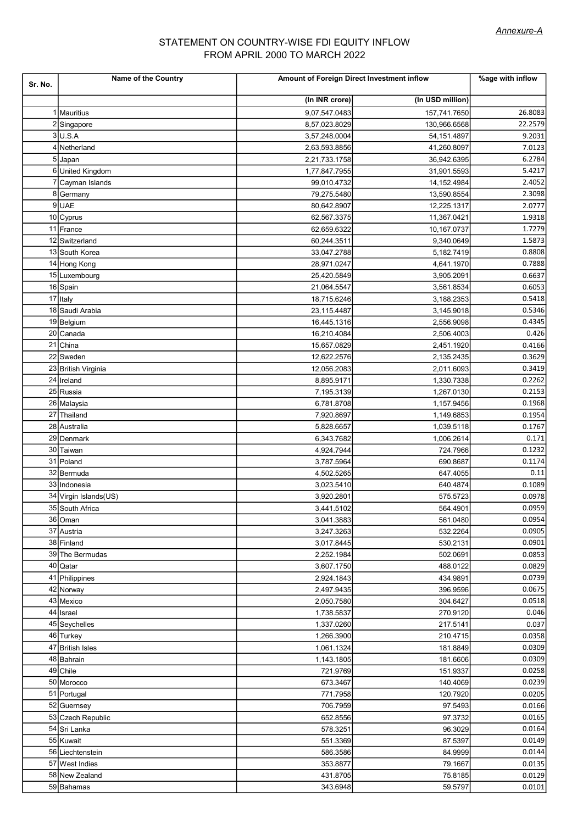# STATEMENT ON COUNTRY-WISE FDI EQUITY INFLOW FROM APRIL 2000 TO MARCH 2022

| Sr. No. | Name of the Country   | Amount of Foreign Direct Investment inflow | %age with inflow |         |
|---------|-----------------------|--------------------------------------------|------------------|---------|
|         |                       | (In INR crore)                             | (In USD million) |         |
|         | Mauritius             | 9,07,547.0483                              | 157,741.7650     | 26.8083 |
| 2       | Singapore             | 8,57,023.8029                              | 130,966.6568     | 22.2579 |
|         | 3U.S.A                | 3,57,248.0004                              | 54,151.4897      | 9.2031  |
| 4       | Netherland            | 2,63,593.8856                              | 41,260.8097      | 7.0123  |
|         | 5 Japan               | 2,21,733.1758                              | 36,942.6395      | 6.2784  |
|         | 6United Kingdom       | 1,77,847.7955                              | 31,901.5593      | 5.4217  |
|         | Cayman Islands        | 99,010.4732                                | 14,152.4984      | 2.4052  |
|         | 8 Germany             | 79,275.5480                                | 13,590.8554      | 2.3098  |
|         | 9UAE                  | 80,642.8907                                | 12,225.1317      | 2.0777  |
|         | 10 Cyprus             | 62,567.3375                                | 11,367.0421      | 1.9318  |
|         | 11 France             | 62,659.6322                                | 10,167.0737      | 1.7279  |
|         | 12 Switzerland        | 60,244.3511                                | 9,340.0649       | 1.5873  |
|         | 13 South Korea        | 33,047.2788                                | 5,182.7419       | 0.8808  |
|         | 14 Hong Kong          | 28,971.0247                                | 4,641.1970       | 0.7888  |
|         | 15 Luxembourg         | 25,420.5849                                | 3,905.2091       | 0.6637  |
|         | 16 Spain              | 21,064.5547                                | 3,561.8534       | 0.6053  |
|         | 17 Italy              | 18,715.6246                                | 3,188.2353       | 0.5418  |
|         | 18 Saudi Arabia       | 23,115.4487                                | 3,145.9018       | 0.5346  |
|         | 19Belgium             | 16,445.1316                                | 2,556.9098       | 0.4345  |
|         | 20 Canada             | 16,210.4084                                | 2,506.4003       | 0.426   |
|         | 21 China              | 15,657.0829                                | 2,451.1920       | 0.4166  |
|         | 22 Sweden             | 12,622.2576                                | 2,135.2435       | 0.3629  |
|         | 23 British Virginia   | 12,056.2083                                | 2,011.6093       | 0.3419  |
|         | 24 Ireland            | 8,895.9171                                 | 1,330.7338       | 0.2262  |
|         | 25 Russia             |                                            |                  |         |
|         |                       | 7,195.3139                                 | 1,267.0130       | 0.2153  |
|         | 26 Malaysia           | 6,781.8708                                 | 1,157.9456       | 0.1968  |
|         | 27 Thailand           | 7,920.8697                                 | 1,149.6853       | 0.1954  |
|         | 28 Australia          | 5,828.6657                                 | 1,039.5118       | 0.1767  |
|         | 29 Denmark            | 6,343.7682                                 | 1,006.2614       | 0.171   |
|         | 30 Taiwan             | 4,924.7944                                 | 724.7966         | 0.1232  |
|         | 31 Poland             | 3,787.5964                                 | 690.8687         | 0.1174  |
|         | 32Bermuda             | 4,502.5265                                 | 647.4055         | 0.11    |
|         | 33 Indonesia          | 3,023.5410                                 | 640.4874         | 0.1089  |
|         | 34 Virgin Islands(US) | 3,920.2801                                 | 575.5723         | 0.0978  |
|         | 35 South Africa       | 3,441.5102                                 | 564.4901         | 0.0959  |
|         | 36 Oman               | 3,041.3883                                 | 561.0480         | 0.0954  |
|         | 37 Austria            | 3,247.3263                                 | 532.2264         | 0.0905  |
|         | 38 Finland            | 3,017.8445                                 | 530.2131         | 0.0901  |
|         | 39 The Bermudas       | 2,252.1984                                 | 502.0691         | 0.0853  |
|         | 40 Qatar              | 3,607.1750                                 | 488.0122         | 0.0829  |
|         | 41 Philippines        | 2,924.1843                                 | 434.9891         | 0.0739  |
|         | 42 Norway             | 2,497.9435                                 | 396.9596         | 0.0675  |
|         | 43 Mexico             | 2,050.7580                                 | 304.6427         | 0.0518  |
|         | 44 Israel             | 1,738.5837                                 | 270.9120         | 0.046   |
|         | 45 Seychelles         | 1,337.0260                                 | 217.5141         | 0.037   |
|         | 46 Turkey             | 1,266.3900                                 | 210.4715         | 0.0358  |
|         | 47 British Isles      | 1,061.1324                                 | 181.8849         | 0.0309  |
|         | 48 Bahrain            | 1,143.1805                                 | 181.6606         | 0.0309  |
|         | 49 Chile              | 721.9769                                   | 151.9337         | 0.0258  |
|         | 50 Morocco            | 673.3467                                   | 140.4069         | 0.0239  |
|         | 51 Portugal           | 771.7958                                   | 120.7920         | 0.0205  |
|         | 52 Guernsey           | 706.7959                                   | 97.5493          | 0.0166  |
|         | 53 Czech Republic     | 652.8556                                   | 97.3732          | 0.0165  |
|         | 54 Sri Lanka          | 578.3251                                   | 96.3029          | 0.0164  |
|         | 55 Kuwait             | 551.3369                                   | 87.5397          | 0.0149  |
|         | 56 Liechtenstein      | 586.3586                                   | 84.9999          | 0.0144  |
|         | 57 West Indies        | 353.8877                                   | 79.1667          | 0.0135  |
|         | 58 New Zealand        | 431.8705                                   | 75.8185          | 0.0129  |
|         | 59 Bahamas            |                                            |                  | 0.0101  |
|         |                       | 343.6948                                   | 59.5797          |         |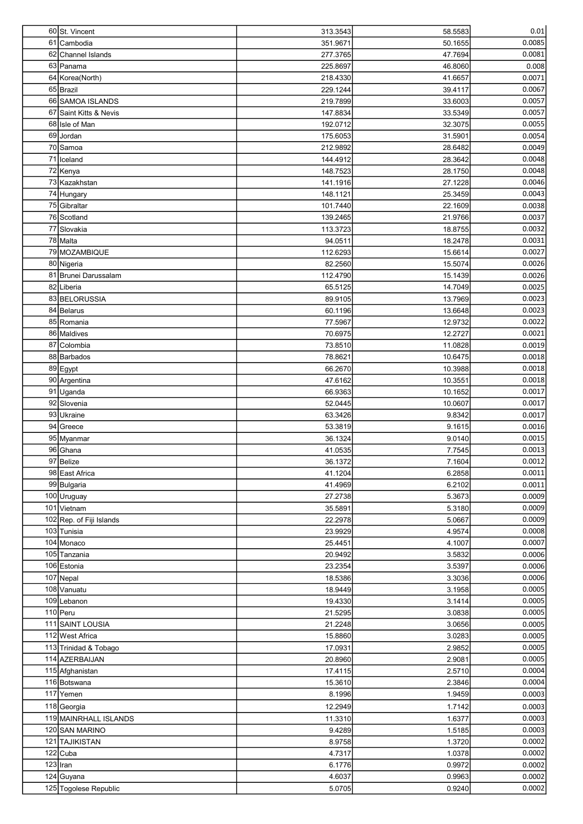| 60 St. Vincent               | 313.3543             | 58.5583            | 0.01             |
|------------------------------|----------------------|--------------------|------------------|
| 61 Cambodia                  | 351.9671             | 50.1655            | 0.0085           |
| 62 Channel Islands           | 277.3765             | 47.7694            | 0.0081           |
| 63 Panama                    | 225.8697             | 46.8060            | 0.008            |
| 64 Korea (North)             | 218.4330             | 41.6657            | 0.0071           |
| 65 Brazil                    | 229.1244             | 39.4117            | 0.0067           |
| 66 SAMOA ISLANDS             | 219.7899             | 33.6003            | 0.0057           |
| 67 Saint Kitts & Nevis       | 147.8834             | 33.5349            | 0.0057           |
| 68 Isle of Man               | 192.0712             | 32.3075            | 0.0055           |
| 69 Jordan                    | 175.6053             | 31.5901            | 0.0054           |
| 70 Samoa<br>71 Iceland       | 212.9892             | 28.6482            | 0.0049           |
| 72 Kenya                     | 144.4912<br>148.7523 | 28.3642<br>28.1750 | 0.0048<br>0.0048 |
| 73 Kazakhstan                | 141.1916             | 27.1228            | 0.0046           |
| 74 Hungary                   | 148.1121             | 25.3459            | 0.0043           |
| 75 Gibraltar                 | 101.7440             | 22.1609            | 0.0038           |
| 76 Scotland                  | 139.2465             | 21.9766            | 0.0037           |
| 77 Slovakia                  | 113.3723             | 18.8755            | 0.0032           |
| 78 Malta                     | 94.0511              | 18.2478            | 0.0031           |
| 79 MOZAMBIQUE                | 112.6293             | 15.6614            | 0.0027           |
| 80 Nigeria                   | 82.2560              | 15.5074            | 0.0026           |
| 81 Brunei Darussalam         | 112.4790             | 15.1439            | 0.0026           |
| 82Liberia                    | 65.5125              | 14.7049            | 0.0025           |
| 83 BELORUSSIA                | 89.9105              | 13.7969            | 0.0023           |
| 84 Belarus                   | 60.1196              | 13.6648            | 0.0023           |
| 85 Romania                   | 77.5967              | 12.9732            | 0.0022           |
| 86 Maldives                  | 70.6975              | 12.2727            | 0.0021           |
| 87 Colombia                  | 73.8510              | 11.0828            | 0.0019           |
| 88 Barbados                  | 78.8621              | 10.6475            | 0.0018           |
| 89 Egypt                     | 66.2670              | 10.3988            | 0.0018           |
| 90 Argentina                 | 47.6162              | 10.3551            | 0.0018           |
| 91 Uganda<br>92 Slovenia     | 66.9363<br>52.0445   | 10.1652<br>10.0607 | 0.0017<br>0.0017 |
| 93 Ukraine                   | 63.3426              | 9.8342             | 0.0017           |
| 94 Greece                    | 53.3819              | 9.1615             | 0.0016           |
| 95 Myanmar                   | 36.1324              | 9.0140             | 0.0015           |
| 96 Ghana                     | 41.0535              | 7.7545             | 0.0013           |
| 97 Belize                    | 36.1372              | 7.1604             | 0.0012           |
| 98 East Africa               | 41.1204              | 6.2858             | 0.0011           |
| 99 Bulgaria                  | 41.4969              | 6.2102             | 0.0011           |
| 100 Uruguay                  | 27.2738              | 5.3673             | 0.0009           |
| 101 Vietnam                  | 35.5891              | 5.3180             | 0.0009           |
| 102 Rep. of Fiji Islands     | 22.2978              | 5.0667             | 0.0009           |
| 103 Tunisia                  | 23.9929              | 4.9574             | 0.0008           |
| 104 Monaco                   | 25.4451              | 4.1007             | 0.0007           |
| 105 Tanzania                 | 20.9492              | 3.5832             | 0.0006           |
| 106 Estonia                  | 23.2354              | 3.5397             | 0.0006           |
| 107 Nepal                    | 18.5386              | 3.3036             | 0.0006           |
| 108 Vanuatu                  | 18.9449              | 3.1958             | 0.0005           |
| 109 Lebanon                  | 19.4330              | 3.1414             | 0.0005           |
| 110 Peru<br>111 SAINT LOUSIA | 21.5295<br>21.2248   | 3.0838<br>3.0656   | 0.0005<br>0.0005 |
| 112 West Africa              | 15.8860              | 3.0283             | 0.0005           |
| 113 Trinidad & Tobago        | 17.0931              | 2.9852             | 0.0005           |
| 114 AZERBAIJAN               | 20.8960              | 2.9081             | 0.0005           |
| 115 Afghanistan              | 17.4115              | 2.5710             | 0.0004           |
| 116 Botswana                 | 15.3610              | 2.3846             | 0.0004           |
| 117 Yemen                    | 8.1996               | 1.9459             | 0.0003           |
| 118 Georgia                  | 12.2949              | 1.7142             | 0.0003           |
| 119 MAINRHALL ISLANDS        | 11.3310              | 1.6377             | 0.0003           |
| 120 SAN MARINO               | 9.4289               | 1.5185             | 0.0003           |
| 121 TAJIKISTAN               | 8.9758               | 1.3720             | 0.0002           |
| $122$ Cuba                   | 4.7317               | 1.0378             | 0.0002           |
| $123$  Iran                  | 6.1776               | 0.9972             | 0.0002           |
| 124 Guyana                   | 4.6037               | 0.9963             | 0.0002           |
| 125 Togolese Republic        | 5.0705               | 0.9240             | 0.0002           |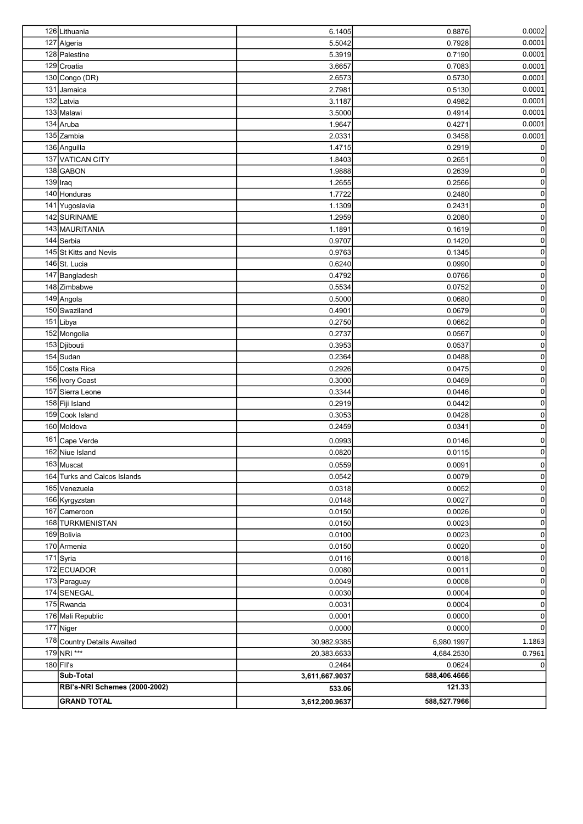| 126 Lithuania                 | 6.1405         | 0.8876       | 0.0002              |
|-------------------------------|----------------|--------------|---------------------|
| 127 Algeria                   | 5.5042         | 0.7928       | 0.0001              |
| 128 Palestine                 | 5.3919         | 0.7190       | 0.0001              |
| 129 Croatia                   | 3.6657         | 0.7083       | 0.0001              |
| 130 Congo (DR)                | 2.6573         | 0.5730       | 0.0001              |
| 131 Jamaica                   | 2.7981         | 0.5130       | 0.0001              |
| 132 Latvia                    | 3.1187         | 0.4982       | 0.0001              |
| 133 Malawi                    | 3.5000         | 0.4914       | 0.0001              |
| 134 Aruba                     | 1.9647         | 0.4271       | 0.0001              |
| 135 Zambia                    | 2.0331         | 0.3458       | 0.0001              |
| 136 Anguilla                  | 1.4715         | 0.2919       | $\Omega$            |
| 137 VATICAN CITY              | 1.8403         | 0.2651       | $\overline{0}$      |
| 138 GABON                     | 1.9888         | 0.2639       | $\boldsymbol{0}$    |
| $139$  Iraq                   | 1.2655         | 0.2566       | $\mathsf{o}\xspace$ |
| 140 Honduras                  | 1.7722         | 0.2480       | $\mathsf{o}\xspace$ |
| 141 Yugoslavia                | 1.1309         | 0.2431       | $\mathbf 0$         |
| 142 SURINAME                  | 1.2959         | 0.2080       | $\mathsf{o}\xspace$ |
| 143 MAURITANIA                | 1.1891         | 0.1619       | $\mathsf{o}\xspace$ |
| 144 Serbia                    | 0.9707         | 0.1420       | $\mathsf{o}\xspace$ |
| 145 St Kitts and Nevis        | 0.9763         | 0.1345       | $\mathsf{o}\xspace$ |
| 146 St. Lucia                 | 0.6240         | 0.0990       | $\boldsymbol{0}$    |
| 147 Bangladesh                | 0.4792         | 0.0766       | $\pmb{0}$           |
| 148 Zimbabwe                  | 0.5534         | 0.0752       | $\boldsymbol{0}$    |
| 149 Angola                    | 0.5000         | 0.0680       | $\mathsf{O}\xspace$ |
| 150 Swaziland                 | 0.4901         | 0.0679       | $\mathsf{o}\xspace$ |
| 151 Libya                     | 0.2750         | 0.0662       | $\mathsf{o}\xspace$ |
| 152 Mongolia                  | 0.2737         | 0.0567       | $\mathsf{o}\xspace$ |
| 153 Djibouti                  | 0.3953         | 0.0537       | $\mathsf{o}\xspace$ |
| 154 Sudan                     | 0.2364         | 0.0488       | $\mathsf{o}\xspace$ |
| 155 Costa Rica                | 0.2926         | 0.0475       | $\mathsf{o}\xspace$ |
| 156 Ivory Coast               | 0.3000         | 0.0469       | $\boldsymbol{0}$    |
| 157 Sierra Leone              | 0.3344         | 0.0446       | $\pmb{0}$           |
| 158 Fiji Island               | 0.2919         | 0.0442       | $\mathbf 0$         |
| 159 Cook Island               | 0.3053         | 0.0428       | $\mathbf 0$         |
| 160 Moldova                   | 0.2459         | 0.0341       | $\boldsymbol{0}$    |
| 161 Cape Verde                | 0.0993         | 0.0146       | $\overline{0}$      |
| 162 Niue Island               | 0.0820         | 0.0115       | $\mathbf{0}$        |
| 163 Muscat                    | 0.0559         | 0.0091       | $\mathbf 0$         |
| 164 Turks and Caicos Islands  | 0.0542         | 0.0079       | $\boldsymbol{0}$    |
| 165 Venezuela                 | 0.0318         | 0.0052       | $\mathsf{O}\xspace$ |
| 166 Kyrgyzstan                | 0.0148         | 0.0027       | $\overline{0}$      |
| 167 Cameroon                  | 0.0150         | 0.0026       | $\overline{0}$      |
| 168 TURKMENISTAN              | 0.0150         | 0.0023       | $\overline{0}$      |
| 169 Bolivia                   | 0.0100         | 0.0023       | 0                   |
| 170 Armenia                   | 0.0150         | 0.0020       | 0                   |
| 171 Syria                     | 0.0116         | 0.0018       | 0                   |
| 172 ECUADOR                   | 0.0080         | 0.0011       | 0                   |
| 173 Paraguay                  | 0.0049         | 0.0008       | 0                   |
| 174 SENEGAL                   | 0.0030         | 0.0004       | 0                   |
| 175 Rwanda                    | 0.0031         | 0.0004       | 0                   |
| 176 Mali Republic             | 0.0001         | 0.0000       | 0                   |
| 177 Niger                     | 0.0000         | 0.0000       | 0                   |
| 178 Country Details Awaited   | 30,982.9385    | 6,980.1997   | 1.1863              |
| 179 NRI ***                   | 20,383.6633    | 4,684.2530   | 0.7961              |
| $180$ FII's                   | 0.2464         | 0.0624       | $\Omega$            |
| Sub-Total                     | 3,611,667.9037 | 588,406.4666 |                     |
| RBI's-NRI Schemes (2000-2002) | 533.06         | 121.33       |                     |
| <b>GRAND TOTAL</b>            | 3,612,200.9637 | 588,527.7966 |                     |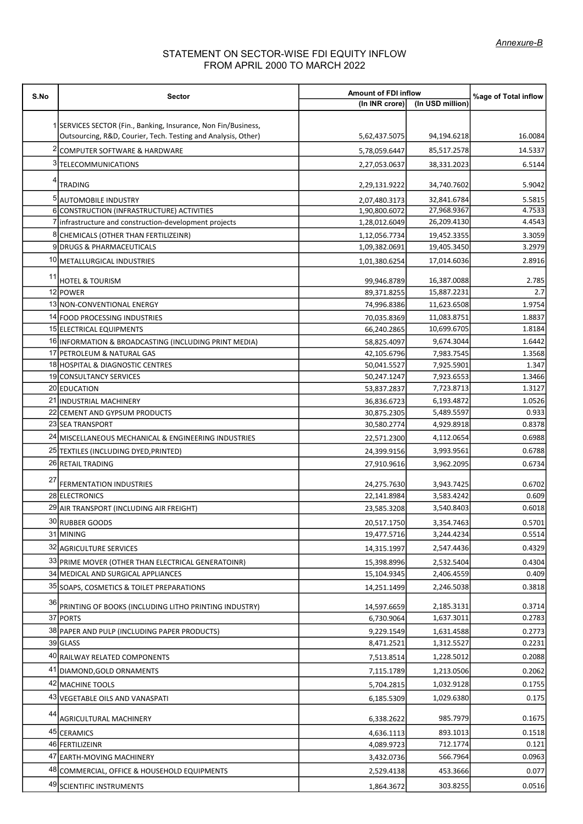# STATEMENT ON SECTOR-WISE FDI EQUITY INFLOW FROM APRIL 2000 TO MARCH 2022

| S.No | <b>Sector</b>                                                       | <b>Amount of FDI inflow</b>    | %age of Total inflow       |                  |
|------|---------------------------------------------------------------------|--------------------------------|----------------------------|------------------|
|      |                                                                     | (In INR crore)                 | (In USD million)           |                  |
|      | 1 SERVICES SECTOR (Fin., Banking, Insurance, Non Fin/Business,      |                                |                            |                  |
|      | Outsourcing, R&D, Courier, Tech. Testing and Analysis, Other)       | 5,62,437.5075                  | 94,194.6218                | 16.0084          |
|      | COMPUTER SOFTWARE & HARDWARE                                        | 5,78,059.6447                  | 85,517.2578                | 14.5337          |
|      | 3 TELECOMMUNICATIONS                                                | 2,27,053.0637                  | 38,331.2023                | 6.5144           |
|      | TRADING                                                             | 2,29,131.9222                  | 34,740.7602                | 5.9042           |
|      |                                                                     |                                |                            |                  |
|      | 5 AUTOMOBILE INDUSTRY<br>6 CONSTRUCTION (INFRASTRUCTURE) ACTIVITIES | 2,07,480.3173<br>1,90,800.6072 | 32,841.6784<br>27,968.9367 | 5.5815<br>4.7533 |
|      | 7 infrastructure and construction-development projects              | 1,28,012.6049                  | 26,209.4130                | 4.4543           |
|      | 8 CHEMICALS (OTHER THAN FERTILIZEINR)                               | 1,12,056.7734                  | 19,452.3355                | 3.3059           |
|      | 9 DRUGS & PHARMACEUTICALS                                           | 1,09,382.0691                  | 19,405.3450                | 3.2979           |
|      | 10 METALLURGICAL INDUSTRIES                                         | 1,01,380.6254                  | 17,014.6036                | 2.8916           |
|      |                                                                     |                                |                            |                  |
| 11   | <b>HOTEL &amp; TOURISM</b>                                          | 99,946.8789                    | 16,387.0088                | 2.785            |
|      | 12 POWER                                                            | 89,371.8255                    | 15,887.2231                | 2.7              |
|      | 13 NON-CONVENTIONAL ENERGY                                          | 74,996.8386                    | 11,623.6508                | 1.9754           |
|      | 14 FOOD PROCESSING INDUSTRIES                                       | 70,035.8369                    | 11,083.8751                | 1.8837           |
|      | 15 ELECTRICAL EQUIPMENTS                                            | 66,240.2865                    | 10,699.6705                | 1.8184           |
|      | 16 INFORMATION & BROADCASTING (INCLUDING PRINT MEDIA)               | 58,825.4097                    | 9,674.3044                 | 1.6442           |
|      | 17 PETROLEUM & NATURAL GAS                                          | 42,105.6796                    | 7,983.7545                 | 1.3568           |
|      | 18 HOSPITAL & DIAGNOSTIC CENTRES                                    | 50,041.5527                    | 7,925.5901                 | 1.347            |
|      | 19 CONSULTANCY SERVICES                                             | 50,247.1247                    | 7,923.6553                 | 1.3466           |
|      | 20 EDUCATION                                                        | 53,837.2837                    | 7,723.8713                 | 1.3127           |
|      | 21 INDUSTRIAL MACHINERY                                             | 36,836.6723                    | 6,193.4872                 | 1.0526           |
|      | 22 CEMENT AND GYPSUM PRODUCTS<br>23 SEA TRANSPORT                   | 30,875.2305<br>30,580.2774     | 5,489.5597<br>4,929.8918   | 0.933<br>0.8378  |
|      | 24 MISCELLANEOUS MECHANICAL & ENGINEERING INDUSTRIES                |                                |                            | 0.6988           |
|      |                                                                     | 22,571.2300                    | 4,112.0654                 |                  |
|      | 25 TEXTILES (INCLUDING DYED, PRINTED)                               | 24,399.9156                    | 3,993.9561                 | 0.6788           |
|      | 26 RETAIL TRADING                                                   | 27,910.9616                    | 3,962.2095                 | 0.6734           |
| 27   | FERMENTATION INDUSTRIES                                             | 24,275.7630                    | 3,943.7425                 | 0.6702           |
|      | 28 ELECTRONICS                                                      | 22,141.8984                    | 3,583.4242                 | 0.609            |
|      | 29 AIR TRANSPORT (INCLUDING AIR FREIGHT)                            | 23,585.3208                    | 3,540.8403                 | 0.6018           |
|      | 30 RUBBER GOODS                                                     | 20,517.1750                    | 3,354.7463                 | 0.5701           |
|      | 31 MINING                                                           | 19,477.5716                    | 3,244.4234                 | 0.5514           |
|      | 32 AGRICULTURE SERVICES                                             | 14,315.1997                    | 2,547.4436                 | 0.4329           |
|      | 33 PRIME MOVER (OTHER THAN ELECTRICAL GENERATOINR)                  | 15,398.8996                    | 2,532.5404                 | 0.4304           |
|      | 34 MEDICAL AND SURGICAL APPLIANCES                                  | 15,104.9345                    | 2,406.4559                 | 0.409            |
|      | 35 SOAPS, COSMETICS & TOILET PREPARATIONS                           | 14,251.1499                    | 2,246.5038                 | 0.3818           |
| 36   |                                                                     |                                |                            |                  |
|      | PRINTING OF BOOKS (INCLUDING LITHO PRINTING INDUSTRY)               | 14,597.6659                    | 2,185.3131                 | 0.3714           |
|      | 37 PORTS                                                            | 6,730.9064                     | 1,637.3011                 | 0.2783           |
|      | 38 PAPER AND PULP (INCLUDING PAPER PRODUCTS)                        | 9,229.1549                     | 1,631.4588                 | 0.2773           |
|      | 39 GLASS                                                            | 8,471.2521                     | 1,312.5527                 | 0.2231           |
|      | 40 RAILWAY RELATED COMPONENTS                                       | 7,513.8514                     | 1,228.5012                 | 0.2088           |
|      | 41 DIAMOND, GOLD ORNAMENTS                                          | 7,115.1789                     | 1,213.0506                 | 0.2062           |
|      | 42 MACHINE TOOLS                                                    | 5,704.2815                     | 1,032.9128                 | 0.1755           |
|      | 43 VEGETABLE OILS AND VANASPATI                                     | 6,185.5309                     | 1,029.6380                 | 0.175            |
| 44   | <b>AGRICULTURAL MACHINERY</b>                                       | 6,338.2622                     | 985.7979                   | 0.1675           |
|      | 45 CERAMICS                                                         | 4,636.1113                     | 893.1013                   | 0.1518           |
|      | 46 FERTILIZEINR                                                     | 4,089.9723                     | 712.1774                   | 0.121            |
|      | 47 EARTH-MOVING MACHINERY                                           | 3,432.0736                     | 566.7964                   | 0.0963           |
|      | 48 COMMERCIAL, OFFICE & HOUSEHOLD EQUIPMENTS                        | 2,529.4138                     | 453.3666                   | 0.077            |
|      |                                                                     |                                |                            |                  |
|      | 49 SCIENTIFIC INSTRUMENTS                                           | 1,864.3672                     | 303.8255                   | 0.0516           |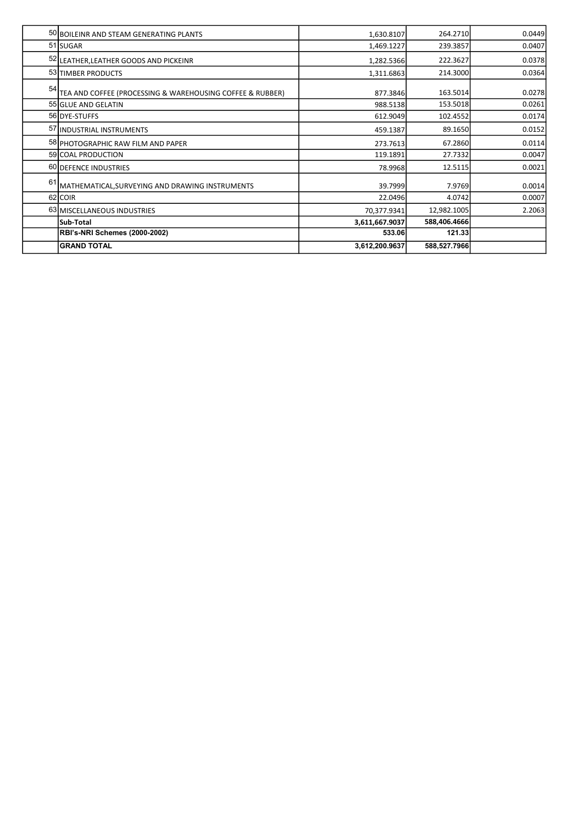|    | 50 BOILEINR AND STEAM GENERATING PLANTS                   | 1,630.8107     | 264.2710     | 0.0449 |
|----|-----------------------------------------------------------|----------------|--------------|--------|
|    | 51 SUGAR                                                  | 1,469.1227     | 239.3857     | 0.0407 |
|    | 52 LEATHER, LEATHER GOODS AND PICKEINR                    | 1,282.5366     | 222.3627     | 0.0378 |
|    | 53 TIMBER PRODUCTS                                        | 1,311.6863     | 214.3000     | 0.0364 |
| 54 | TEA AND COFFEE (PROCESSING & WAREHOUSING COFFEE & RUBBER) | 877.3846       | 163.5014     | 0.0278 |
|    | 55 GLUE AND GELATIN                                       | 988.5138       | 153.5018     | 0.0261 |
|    | 56 DYE-STUFFS                                             | 612.9049       | 102.4552     | 0.0174 |
|    | 57 INDUSTRIAL INSTRUMENTS                                 | 459.1387       | 89.1650      | 0.0152 |
|    | 58 PHOTOGRAPHIC RAW FILM AND PAPER                        | 273.7613       | 67.2860      | 0.0114 |
|    | 59 COAL PRODUCTION                                        | 119.1891       | 27.7332      | 0.0047 |
|    | 60 DEFENCE INDUSTRIES                                     | 78.9968        | 12.5115      | 0.0021 |
| 61 | MATHEMATICAL, SURVEYING AND DRAWING INSTRUMENTS           | 39.7999        | 7.9769       | 0.0014 |
|    | 62 COIR                                                   | 22.0496        | 4.0742       | 0.0007 |
|    | 63 MISCELLANEOUS INDUSTRIES                               | 70,377.9341    | 12,982.1005  | 2.2063 |
|    | Sub-Total                                                 | 3,611,667.9037 | 588,406.4666 |        |
|    | <b>RBI's-NRI Schemes (2000-2002)</b>                      | 533.06         | 121.33       |        |
|    | <b>GRAND TOTAL</b>                                        | 3,612,200.9637 | 588,527.7966 |        |